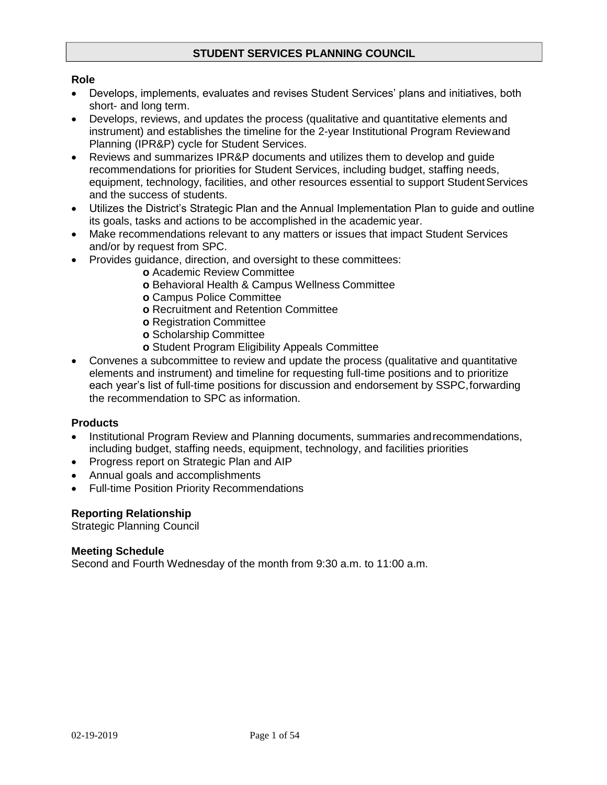# **STUDENT SERVICES PLANNING COUNCIL**

## **Role**

- Develops, implements, evaluates and revises Student Services' plans and initiatives, both short- and long term.
- Develops, reviews, and updates the process (qualitative and quantitative elements and instrument) and establishes the timeline for the 2-year Institutional Program Reviewand Planning (IPR&P) cycle for Student Services.
- Reviews and summarizes IPR&P documents and utilizes them to develop and guide recommendations for priorities for Student Services, including budget, staffing needs, equipment, technology, facilities, and other resources essential to support Student Services and the success of students.
- Utilizes the District's Strategic Plan and the Annual Implementation Plan to guide and outline its goals, tasks and actions to be accomplished in the academic year.
- Make recommendations relevant to any matters or issues that impact Student Services and/or by request from SPC.
- Provides guidance, direction, and oversight to these committees:
	- **o** Academic Review Committee
	- **o** Behavioral Health & Campus Wellness Committee
	- **o** Campus Police Committee
	- **o** Recruitment and Retention Committee
	- **o** Registration Committee
	- **o** Scholarship Committee
	- **o** Student Program Eligibility Appeals Committee
- Convenes a subcommittee to review and update the process (qualitative and quantitative elements and instrument) and timeline for requesting full-time positions and to prioritize each year's list of full-time positions for discussion and endorsement by SSPC,forwarding the recommendation to SPC as information.

#### **Products**

- Institutional Program Review and Planning documents, summaries andrecommendations, including budget, staffing needs, equipment, technology, and facilities priorities
- Progress report on Strategic Plan and AIP
- Annual goals and accomplishments
- Full-time Position Priority Recommendations

#### **Reporting Relationship**

Strategic Planning Council

#### **Meeting Schedule**

Second and Fourth Wednesday of the month from 9:30 a.m. to 11:00 a.m.